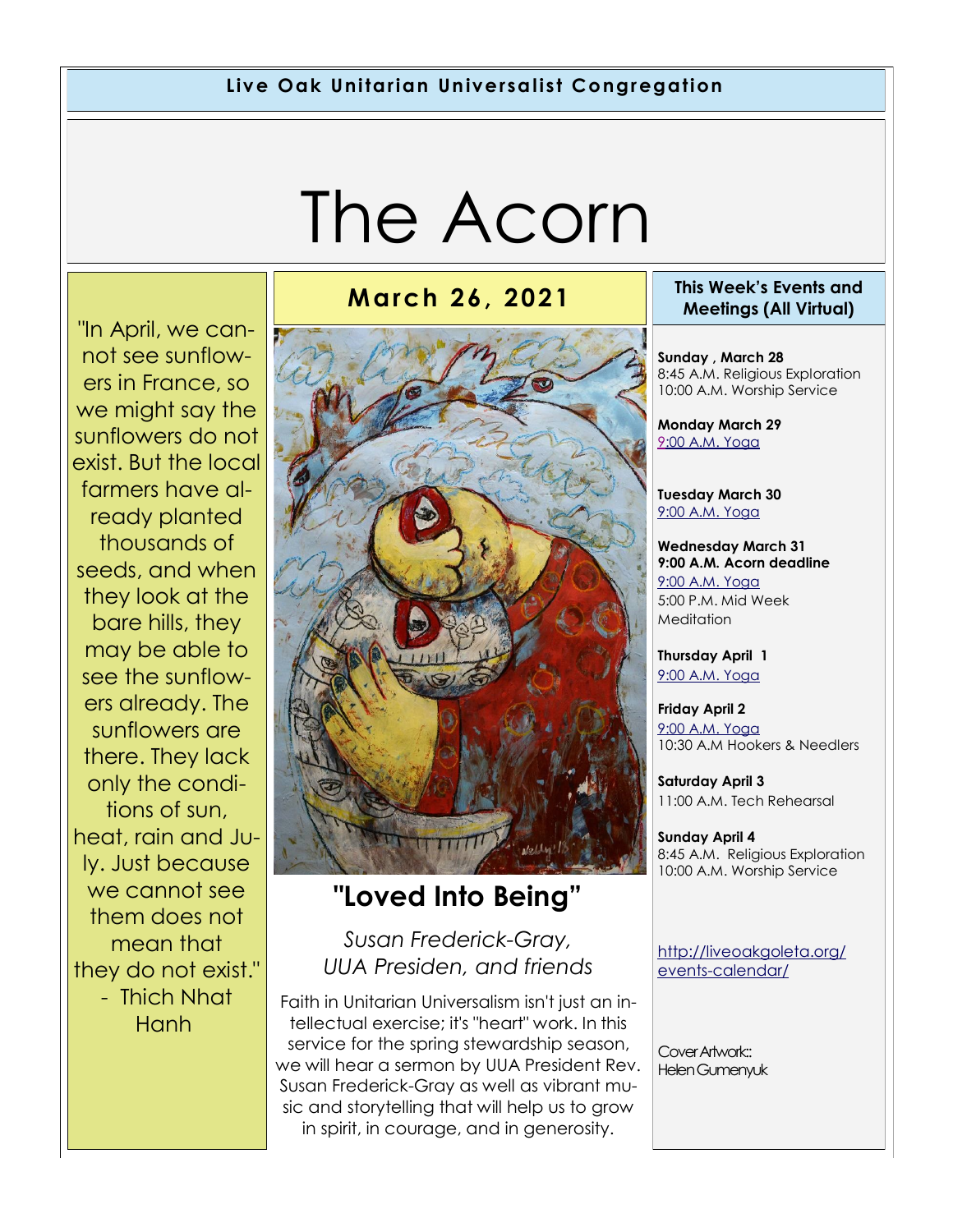#### **Live Oak Unitarian Universalist Congregation**

# The Acorn

"In April, we cannot see sunflowers in France, so we might say the sunflowers do not exist. But the local farmers have already planted thousands of seeds, and when they look at the bare hills, they may be able to see the sunflowers already. The sunflowers are there. They lack only the conditions of sun, heat, rain and July. Just because we cannot see them does not mean that they do not exist." - Thich Nhat **Hanh** 



### **"Loved Into Being"**

#### *Susan Frederick-Gray, UUA Presiden, and friends*

Faith in Unitarian Universalism isn't just an intellectual exercise; it's "heart" work. In this service for the spring stewardship season, we will hear a sermon by UUA President Rev. Susan Frederick-Gray as well as vibrant music and storytelling that will help us to grow in spirit, in courage, and in generosity.

#### **March 26, 2021 This Week's Events and Meetings (All Virtual)**

**Sunday , March 28** 8:45 A.M. Religious Exploration 10:00 A.M. Worship Service

**Monday March 29** [9:](https://us02web.zoom.us/meeting/register/tZ0pc-6qrTwqH9WUfmrB_nZu0MWqJ8CyS3Uw)[00 A.M. Yoga](https://us02web.zoom.us/j/86278199291?pwd=WUh1MFJyVXNVOTIyQ1NmanJoSmNXQT09)

**Tuesday March 30** [9:00 A.M. Yoga](https://us02web.zoom.us/meeting/register/tZ0pc-6qrTwqH9WUfmrB_nZu0MWqJ8CyS3Uw) 

**Wednesday March 31 9:00 A.M. Acorn deadline** [9:00 A.M. Yoga](https://us02web.zoom.us/meeting/register/tZ0pc-6qrTwqH9WUfmrB_nZu0MWqJ8CyS3Uw)  5:00 P.M. Mid Week **Meditation** 

**Thursday April 1** [9:00 A.M. Yoga](https://us02web.zoom.us/meeting/register/tZ0pc-6qrTwqH9WUfmrB_nZu0MWqJ8CyS3Uw) 

**Friday April 2** [9:00 A.M. Yoga](https://us02web.zoom.us/meeting/register/tZ0pc-6qrTwqH9WUfmrB_nZu0MWqJ8CyS3Uw)  10:30 A.M Hookers & Needlers

**Saturday April 3** 11:00 A.M. Tech Rehearsal

**Sunday April 4** 8:45 A.M. Religious Exploration 10:00 A.M. Worship Service

[http://liveoakgoleta.org/](http://liveoakgoleta.org/events-calendar/) [events-calendar/](http://liveoakgoleta.org/events-calendar/)

Cover Artwork:: Helen Gumenyuk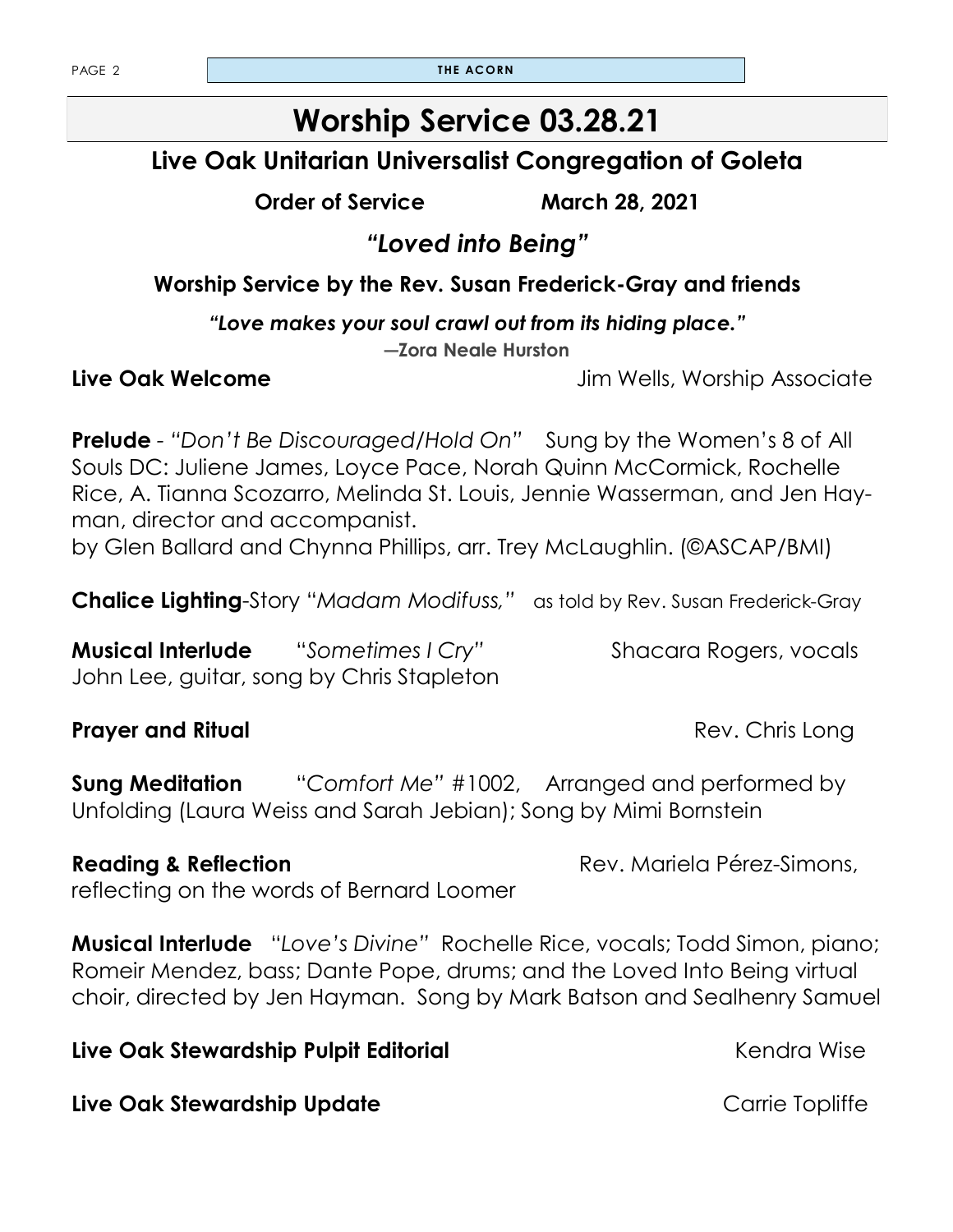PAGE 2 **THE ACORN** 

### **Worship Service 03.28.21**

**Live Oak Unitarian Universalist Congregation of Goleta**

**Order of Service March 28, 2021**

*"Loved into Being"* 

**Worship Service by the Rev. Susan Frederick-Gray and friends**

*"Love makes your soul crawl out from its hiding place."* 

**―Zora Neale Hurston**

**Live Oak Welcome Live Oak Welcome** *Jim Wells, Worship Associate* 

**Prelude** - "Don't Be Discouraged/Hold On" Sung by the Women's 8 of All Souls DC: Juliene James, Loyce Pace, Norah Quinn McCormick, Rochelle Rice, A. Tianna Scozarro, Melinda St. Louis, Jennie Wasserman, and Jen Hayman, director and accompanist. by Glen Ballard and Chynna Phillips, arr. Trey McLaughlin. (©ASCAP/BMI)

**Chalice Lighting**-Story "*Madam Modifuss,"* as told by Rev. Susan Frederick-Gray

**Musical Interlude** "Sometimes I Cry" Shacara Rogers, vocals John Lee, guitar, song by Chris Stapleton

#### **Prayer and Ritual** Rev. Chris Long

**Sung Meditation** "*Comfort Me"* #1002, Arranged and performed by Unfolding (Laura Weiss and Sarah Jebian); Song by Mimi Bornstein

reflecting on the words of Bernard Loomer

**Musical Interlude** "*Love's Divine"* Rochelle Rice, vocals; Todd Simon, piano; Romeir Mendez, bass; Dante Pope, drums; and the Loved Into Being virtual choir, directed by Jen Hayman. Song by Mark Batson and Sealhenry Samuel

**Live Oak Stewardship Pulpit Editorial Community Community Community Community Community Community Community Community Community Community Community Community Community Community Community Community Community Community Com** 

**Live Oak Stewardship Update Carrie Topliffe** 

**Reading & Reflection** Rev. Mariela Pérez-Simons,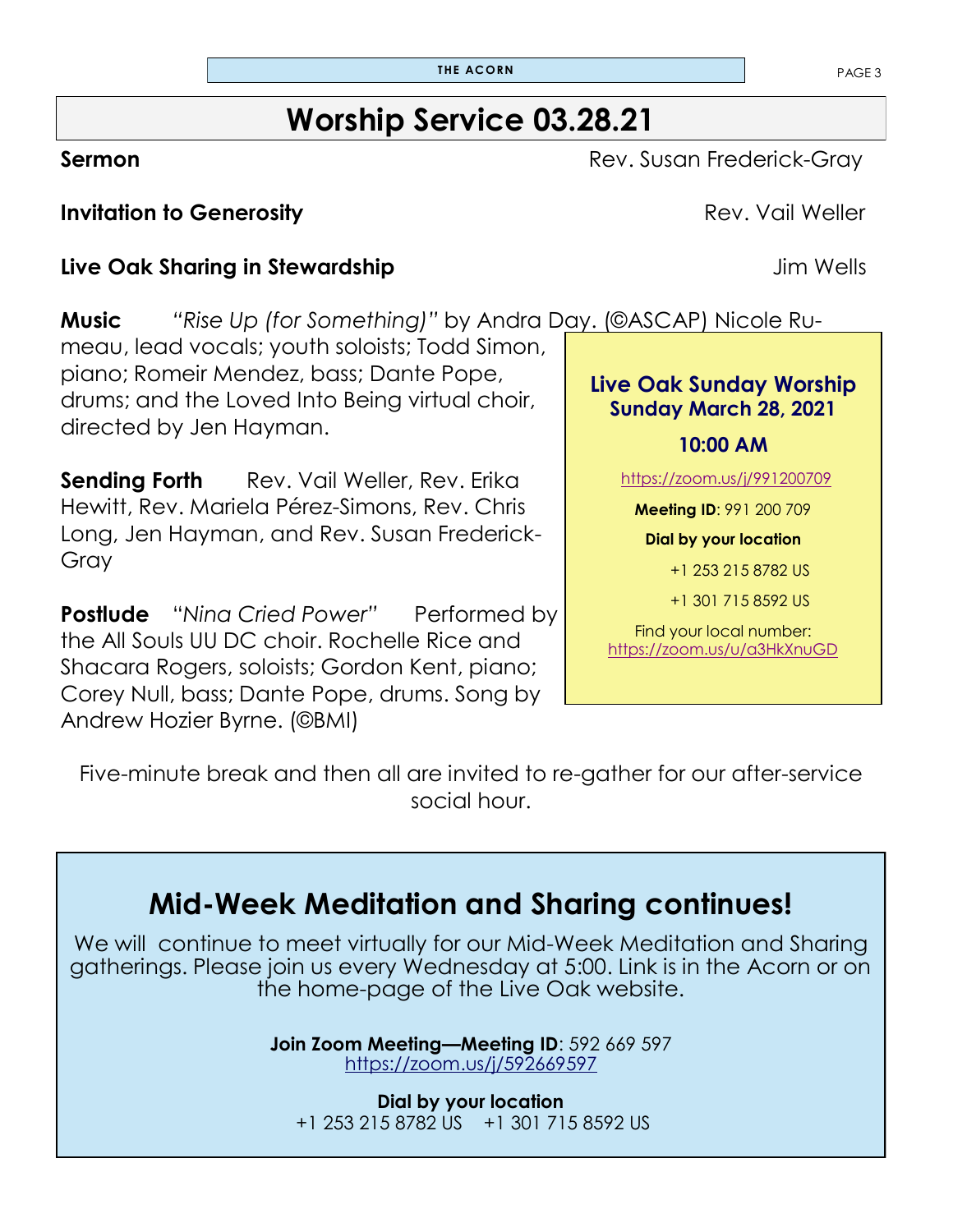### **Worship Service 03.28.21**

**Sermon** Rev. Susan Frederick-Gray

**Invitation to Generosity Constanting Constanting Constanting Constanting Constanting Rev. Vail Weller** 

#### **Live Oak Sharing in Stewardship Jim Wells**

**Music** *"Rise Up (for Something)"* by Andra Day. (©ASCAP) Nicole Ru-

meau, lead vocals; youth soloists; Todd Simon, piano; Romeir Mendez, bass; Dante Pope, drums; and the Loved Into Being virtual choir, directed by Jen Hayman.

**Sending Forth** Rev. Vail Weller, Rev. Erika Hewitt, Rev. Mariela Pérez-Simons, Rev. Chris Long, Jen Hayman, and Rev. Susan Frederick-Gray

**Postlude** "Nina Cried Power" Performed by the All Souls UU DC choir. Rochelle Rice and Shacara Rogers, soloists; Gordon Kent, piano; Corey Null, bass; Dante Pope, drums. Song by Andrew Hozier Byrne. (©BMI)

**Live Oak Sunday Worship Sunday March 28, 2021**

+1 301 715 8592 US

Find your local number: <https://zoom.us/u/a3HkXnuGD>

Five-minute break and then all are invited to re-gather for our after-service social hour.

### **Mid-Week Meditation and Sharing continues!**

We will continue to meet virtually for our Mid-Week Meditation and Sharing gatherings. Please join us every Wednesday at 5:00. Link is in the Acorn or on the home-page of the Live Oak website.

> **Join Zoom Meeting—Meeting ID**: 592 669 597 <https://zoom.us/j/592669597>

**Dial by your location** +1 253 215 8782 US +1 301 715 8592 US

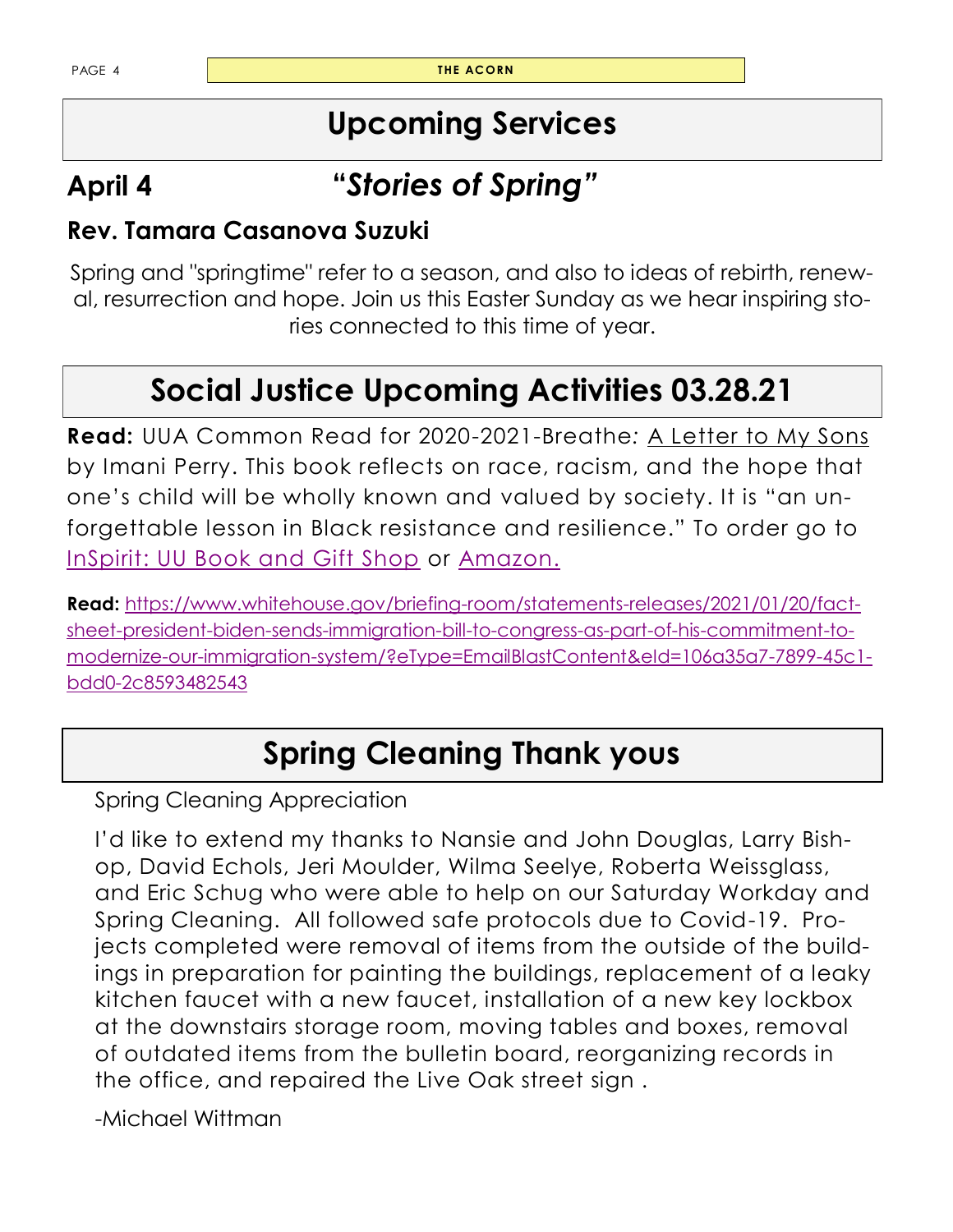PAGE 4 **THE ACORN** 

### **Upcoming Services**

## **April 4 "***Stories of Spring"*

### **Rev. Tamara Casanova Suzuki**

Spring and "springtime" refer to a season, and also to ideas of rebirth, renewal, resurrection and hope. Join us this Easter Sunday as we hear inspiring stories connected to this time of year.

## **Social Justice Upcoming Activities 03.28.21**

**Read:** UUA Common Read for 2020-2021-Breathe*:* A Letter to My Sons by Imani Perry. This book reflects on race, racism, and the hope that one's child will be wholly known and valued by society. It is "an unforgettable lesson in Black resistance and resilience." To order go to [InSpirit: UU Book and Gift Shop](https://www.uuabookstore.org/) or [Amazon.](https://smile.amazon.com/gp/chpf/homepage/ref=smi_chpf_redirect/136-5227691-0877711?ie=UTF8&%2AVersion%2A=1&%2Aentries%2A=0)

**Read:** [https://www.whitehouse.gov/briefing-room/statements-releases/2021/01/20/fact](https://www.whitehouse.gov/briefing-room/statements-releases/2021/01/20/fact-sheet-president-biden-sends-immigration-bill-to-congress-as-part-of-his-commitment-to-modernize-our-immigration-system/?eType=EmailBlastContent&eId=106a35a7-7899-45c1-bdd0-2c85934)[sheet-president-biden-sends-immigration-bill-to-congress-as-part-of-his-commitment-to](https://www.whitehouse.gov/briefing-room/statements-releases/2021/01/20/fact-sheet-president-biden-sends-immigration-bill-to-congress-as-part-of-his-commitment-to-modernize-our-immigration-system/?eType=EmailBlastContent&eId=106a35a7-7899-45c1-bdd0-2c85934)[modernize-our-immigration-system/?eType=EmailBlastContent&eId=106a35a7-7899-45c1](https://www.whitehouse.gov/briefing-room/statements-releases/2021/01/20/fact-sheet-president-biden-sends-immigration-bill-to-congress-as-part-of-his-commitment-to-modernize-our-immigration-system/?eType=EmailBlastContent&eId=106a35a7-7899-45c1-bdd0-2c85934) [bdd0-2c8593482543](https://www.whitehouse.gov/briefing-room/statements-releases/2021/01/20/fact-sheet-president-biden-sends-immigration-bill-to-congress-as-part-of-his-commitment-to-modernize-our-immigration-system/?eType=EmailBlastContent&eId=106a35a7-7899-45c1-bdd0-2c85934)

## **Spring Cleaning Thank yous**

Spring Cleaning Appreciation

I'd like to extend my thanks to Nansie and John Douglas, Larry Bishop, David Echols, Jeri Moulder, Wilma Seelye, Roberta Weissglass, and Eric Schug who were able to help on our Saturday Workday and Spring Cleaning. All followed safe protocols due to Covid-19. Projects completed were removal of items from the outside of the buildings in preparation for painting the buildings, replacement of a leaky kitchen faucet with a new faucet, installation of a new key lockbox at the downstairs storage room, moving tables and boxes, removal of outdated items from the bulletin board, reorganizing records in the office, and repaired the Live Oak street sign .

-Michael Wittman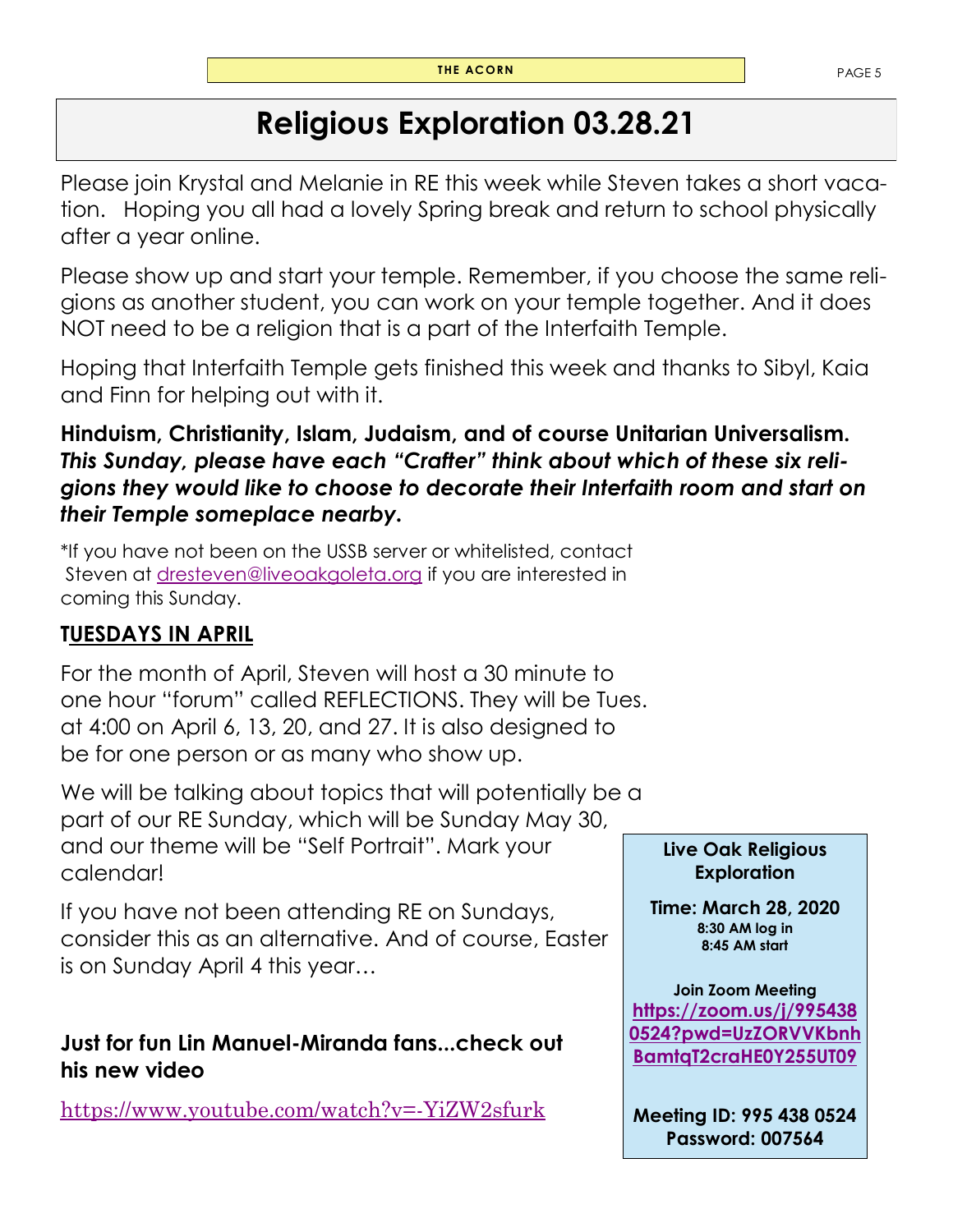### **Religious Exploration 03.28.21**

Please join Krystal and Melanie in RE this week while Steven takes a short vacation. Hoping you all had a lovely Spring break and return to school physically after a year online.

Please show up and start your temple. Remember, if you choose the same religions as another student, you can work on your temple together. And it does NOT need to be a religion that is a part of the Interfaith Temple.

Hoping that Interfaith Temple gets finished this week and thanks to Sibyl, Kaia and Finn for helping out with it.

#### **Hinduism, Christianity, Islam, Judaism, and of course Unitarian Universalism.**  *This Sunday, please have each "Crafter" think about which of these six religions they would like to choose to decorate their Interfaith room and start on their Temple someplace nearby.*

\*If you have not been on the USSB server or whitelisted, contact Steven at [dresteven@liveoakgoleta.org](mailto:dresteven@liveoakgoleta.org) if you are interested in coming this Sunday.

### **TUESDAYS IN APRIL**

For the month of April, Steven will host a 30 minute to one hour "forum" called REFLECTIONS. They will be Tues. at 4:00 on April 6, 13, 20, and 27. It is also designed to be for one person or as many who show up.

We will be talking about topics that will potentially be a part of our RE Sunday, which will be Sunday May 30, and our theme will be "Self Portrait". Mark your calendar!

If you have not been attending RE on Sundays, consider this as an alternative. And of course, Easter is on Sunday April 4 this year…

#### **Just for fun Lin Manuel-Miranda fans...check out his new video**

<https://www.youtube.com/watch?v=-YiZW2sfurk>

#### **Live Oak Religious Exploration**

**Time: March 28, 2020 8:30 AM log in 8:45 AM start**

**Join Zoom Meeting [https://zoom.us/j/995438](https://zoom.us/j/9954380524?pwd=UzZORVVKbnhBamtqT2craHE0Y255UT09) [0524?pwd=UzZORVVKbnh](https://zoom.us/j/9954380524?pwd=UzZORVVKbnhBamtqT2craHE0Y255UT09) [BamtqT2craHE0Y255UT09](https://zoom.us/j/9954380524?pwd=UzZORVVKbnhBamtqT2craHE0Y255UT09)**

**Meeting ID: 995 438 0524 Password: 007564**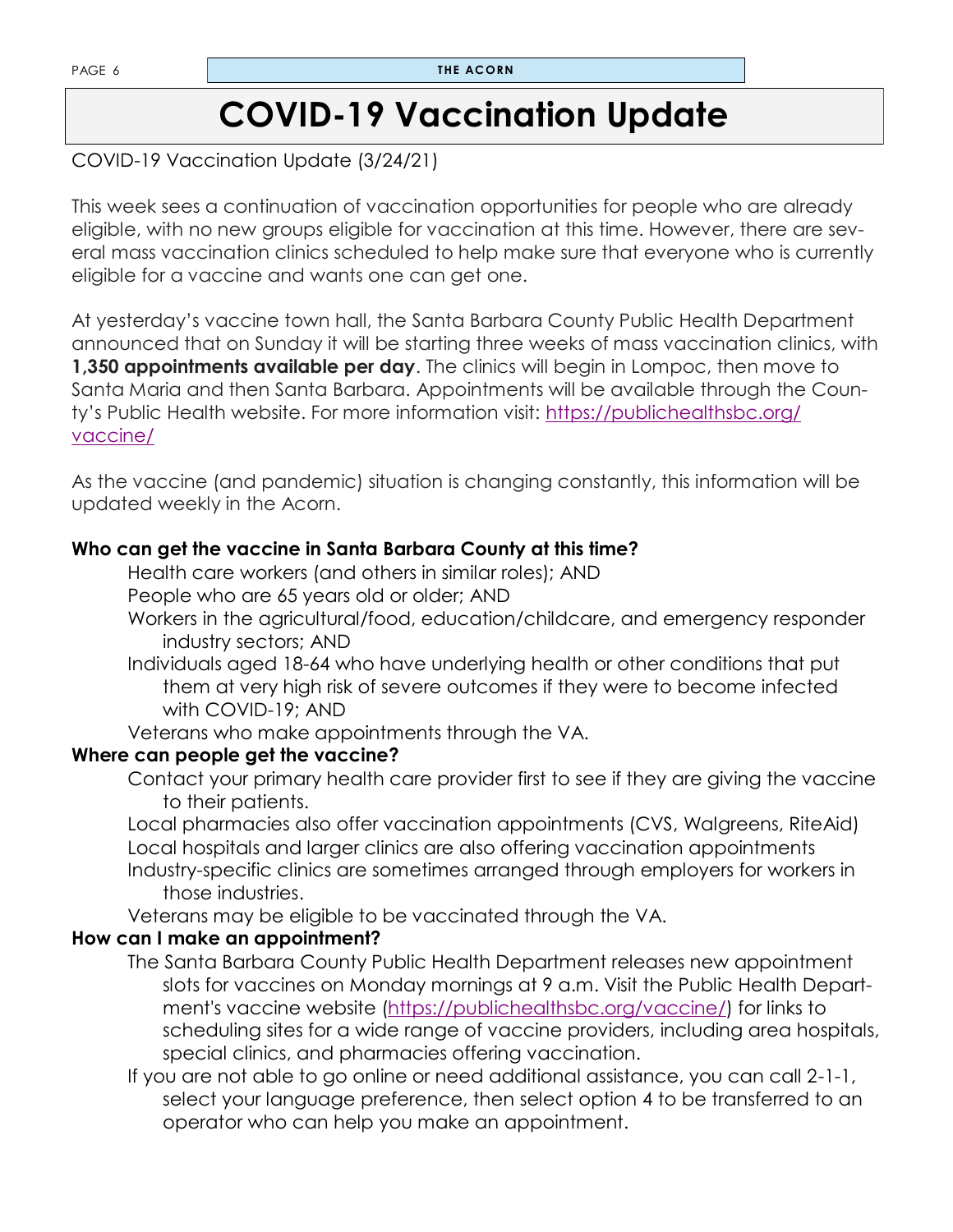### **COVID-19 Vaccination Update**

#### COVID-19 Vaccination Update (3/24/21)

This week sees a continuation of vaccination opportunities for people who are already eligible, with no new groups eligible for vaccination at this time. However, there are several mass vaccination clinics scheduled to help make sure that everyone who is currently eligible for a vaccine and wants one can get one.

At yesterday's vaccine town hall, the Santa Barbara County Public Health Department announced that on Sunday it will be starting three weeks of mass vaccination clinics, with **1,350 appointments available per day**. The clinics will begin in Lompoc, then move to Santa Maria and then Santa Barbara. Appointments will be available through the County's Public Health website. For more information visit: [https://publichealthsbc.org/](https://publichealthsbc.org/vaccine/) [vaccine/](https://publichealthsbc.org/vaccine/)

As the vaccine (and pandemic) situation is changing constantly, this information will be updated weekly in the Acorn.

#### **Who can get the vaccine in Santa Barbara County at this time?**

Health care workers (and others in similar roles); AND

People who are 65 years old or older; AND

- Workers in the agricultural/food, education/childcare, and emergency responder industry sectors; AND
- Individuals aged 18-64 who have underlying health or other conditions that put them at very high risk of severe outcomes if they were to become infected with COVID-19; AND

Veterans who make appointments through the VA.

#### **Where can people get the vaccine?**

Contact your primary health care provider first to see if they are giving the vaccine to their patients.

Local pharmacies also offer vaccination appointments (CVS, Walgreens, RiteAid) Local hospitals and larger clinics are also offering vaccination appointments Industry-specific clinics are sometimes arranged through employers for workers in those industries.

Veterans may be eligible to be vaccinated through the VA.

#### **How can I make an appointment?**

The Santa Barbara County Public Health Department releases new appointment slots for vaccines on Monday mornings at 9 a.m. Visit the Public Health Department's vaccine website [\(https://publichealthsbc.org/vaccine/\)](https://publichealthsbc.org/vaccine/) for links to scheduling sites for a wide range of vaccine providers, including area hospitals, special clinics, and pharmacies offering vaccination.

If you are not able to go online or need additional assistance, you can call 2-1-1, select your language preference, then select option 4 to be transferred to an operator who can help you make an appointment.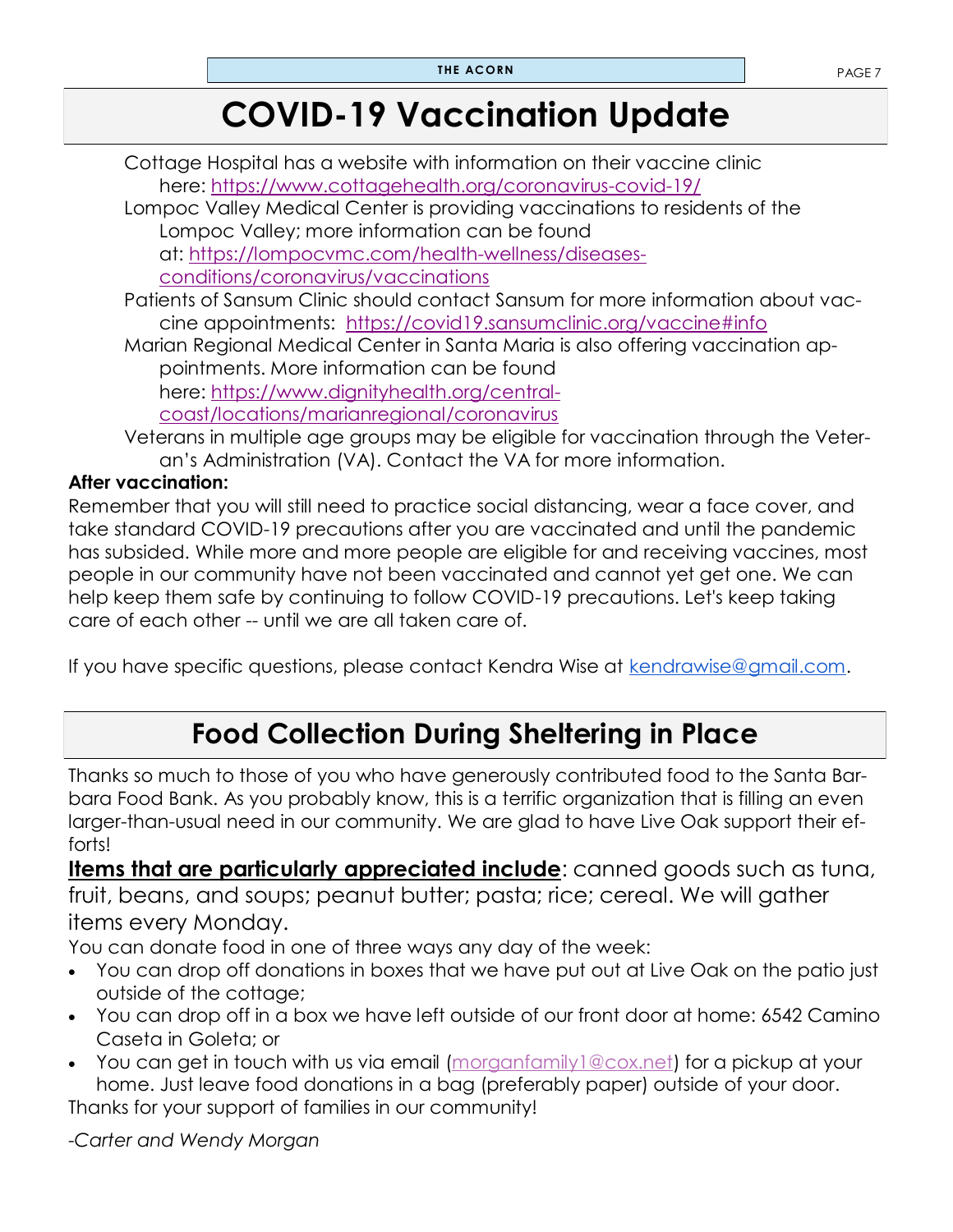## **COVID-19 Vaccination Update**

Cottage Hospital has a website with information on their vaccine clinic here: <https://www.cottagehealth.org/coronavirus-covid-19/> Lompoc Valley Medical Center is providing vaccinations to residents of the Lompoc Valley; more information can be found at: [https://lompocvmc.com/health-wellness/diseases](https://lompocvmc.com/health-wellness/diseases-conditions/coronavirus/vaccinations)[conditions/coronavirus/vaccinations](https://lompocvmc.com/health-wellness/diseases-conditions/coronavirus/vaccinations) Patients of Sansum Clinic should contact Sansum for more information about vaccine appointments: <https://covid19.sansumclinic.org/vaccine#info> Marian Regional Medical Center in Santa Maria is also offering vaccination appointments. More information can be found here: [https://www.dignityhealth.org/central](https://www.dignityhealth.org/central-coast/locations/marianregional/coronavirus)[coast/locations/marianregional/coronavirus](https://www.dignityhealth.org/central-coast/locations/marianregional/coronavirus)

Veterans in multiple age groups may be eligible for vaccination through the Veteran's Administration (VA). Contact the VA for more information.

#### **After vaccination:**

Remember that you will still need to practice social distancing, wear a face cover, and take standard COVID-19 precautions after you are vaccinated and until the pandemic has subsided. While more and more people are eligible for and receiving vaccines, most people in our community have not been vaccinated and cannot yet get one. We can help keep them safe by continuing to follow COVID-19 precautions. Let's keep taking care of each other -- until we are all taken care of.

If you have specific questions, please contact Kendra Wise at [kendrawise@gmail.com.](mailto:kendrawise@gmail.com)

### **Food Collection During Sheltering in Place**

Thanks so much to those of you who have generously contributed food to the Santa Barbara Food Bank. As you probably know, this is a terrific organization that is filling an even larger-than-usual need in our community. We are glad to have Live Oak support their efforts!

**Items that are particularly appreciated include**: canned goods such as tuna, fruit, beans, and soups; peanut butter; pasta; rice; cereal. We will gather items every Monday.

You can donate food in one of three ways any day of the week:

- You can drop off donations in boxes that we have put out at Live Oak on the patio just outside of the cottage;
- You can drop off in a box we have left outside of our front door at home: 6542 Camino Caseta in Goleta; or
- You can get in touch with us via email (morganfamily 1@cox.net) for a pickup at your home. Just leave food donations in a bag (preferably paper) outside of your door.

Thanks for your support of families in our community!

-*Carter and Wendy Morgan*